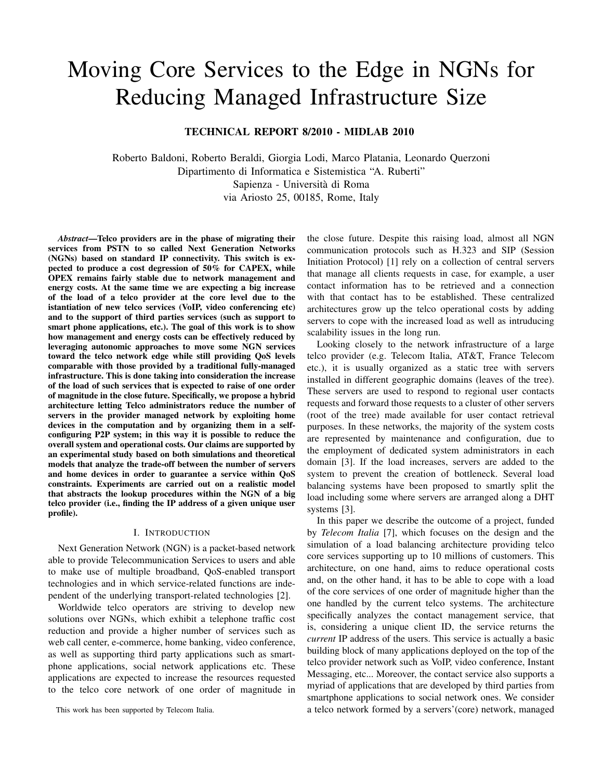# Moving Core Services to the Edge in NGNs for Reducing Managed Infrastructure Size

TECHNICAL REPORT 8/2010 - MIDLAB 2010

Roberto Baldoni, Roberto Beraldi, Giorgia Lodi, Marco Platania, Leonardo Querzoni Dipartimento di Informatica e Sistemistica "A. Ruberti" Sapienza - Universita di Roma ` via Ariosto 25, 00185, Rome, Italy

*Abstract*—Telco providers are in the phase of migrating their services from PSTN to so called Next Generation Networks (NGNs) based on standard IP connectivity. This switch is expected to produce a cost degression of 50% for CAPEX, while OPEX remains fairly stable due to network management and energy costs. At the same time we are expecting a big increase of the load of a telco provider at the core level due to the istantiation of new telco services (VoIP, video conferencing etc) and to the support of third parties services (such as support to smart phone applications, etc.). The goal of this work is to show how management and energy costs can be effectively reduced by leveraging autonomic approaches to move some NGN services toward the telco network edge while still providing QoS levels comparable with those provided by a traditional fully-managed infrastructure. This is done taking into consideration the increase of the load of such services that is expected to raise of one order of magnitude in the close future. Specifically, we propose a hybrid architecture letting Telco administrators reduce the number of servers in the provider managed network by exploiting home devices in the computation and by organizing them in a selfconfiguring P2P system; in this way it is possible to reduce the overall system and operational costs. Our claims are supported by an experimental study based on both simulations and theoretical models that analyze the trade-off between the number of servers and home devices in order to guarantee a service within QoS constraints. Experiments are carried out on a realistic model that abstracts the lookup procedures within the NGN of a big telco provider (i.e., finding the IP address of a given unique user profile).

#### I. INTRODUCTION

Next Generation Network (NGN) is a packet-based network able to provide Telecommunication Services to users and able to make use of multiple broadband, QoS-enabled transport technologies and in which service-related functions are independent of the underlying transport-related technologies [2].

Worldwide telco operators are striving to develop new solutions over NGNs, which exhibit a telephone traffic cost reduction and provide a higher number of services such as web call center, e-commerce, home banking, video conference, as well as supporting third party applications such as smartphone applications, social network applications etc. These applications are expected to increase the resources requested to the telco core network of one order of magnitude in

This work has been supported by Telecom Italia.

the close future. Despite this raising load, almost all NGN communication protocols such as H.323 and SIP (Session Initiation Protocol) [1] rely on a collection of central servers that manage all clients requests in case, for example, a user contact information has to be retrieved and a connection with that contact has to be established. These centralized architectures grow up the telco operational costs by adding servers to cope with the increased load as well as intruducing scalability issues in the long run.

Looking closely to the network infrastructure of a large telco provider (e.g. Telecom Italia, AT&T, France Telecom etc.), it is usually organized as a static tree with servers installed in different geographic domains (leaves of the tree). These servers are used to respond to regional user contacts requests and forward those requests to a cluster of other servers (root of the tree) made available for user contact retrieval purposes. In these networks, the majority of the system costs are represented by maintenance and configuration, due to the employment of dedicated system administrators in each domain [3]. If the load increases, servers are added to the system to prevent the creation of bottleneck. Several load balancing systems have been proposed to smartly split the load including some where servers are arranged along a DHT systems [3].

In this paper we describe the outcome of a project, funded by *Telecom Italia* [7], which focuses on the design and the simulation of a load balancing architecture providing telco core services supporting up to 10 millions of customers. This architecture, on one hand, aims to reduce operational costs and, on the other hand, it has to be able to cope with a load of the core services of one order of magnitude higher than the one handled by the current telco systems. The architecture specifically analyzes the contact management service, that is, considering a unique client ID, the service returns the *current* IP address of the users. This service is actually a basic building block of many applications deployed on the top of the telco provider network such as VoIP, video conference, Instant Messaging, etc... Moreover, the contact service also supports a myriad of applications that are developed by third parties from smartphone applications to social network ones. We consider a telco network formed by a servers'(core) network, managed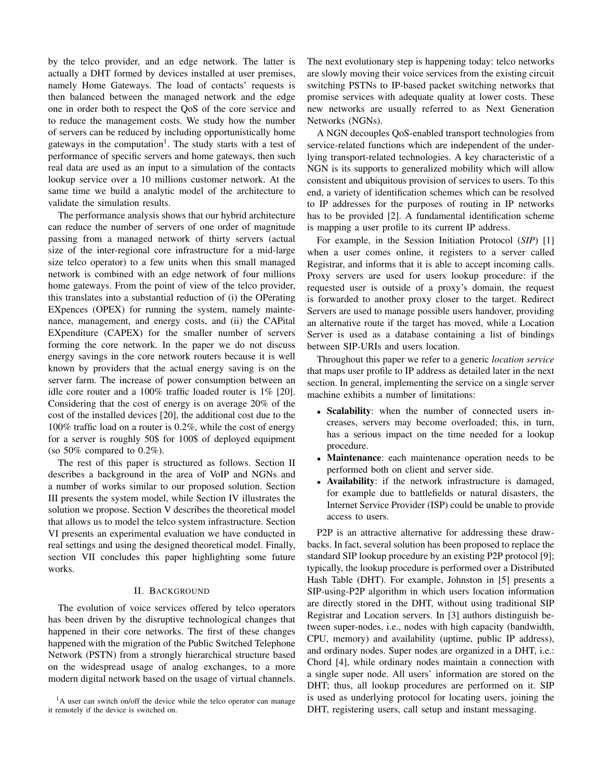by the telco provider, and an edge network. The latter is actually a DHT formed by devices installed at user premises, namely Home Gateways. The load of contacts' requests is then balanced between the managed network and the edge one in order both to respect the QoS of the core service and to reduce the management costs. We study how the number of servers can be reduced by including opportunistically home gateways in the computation<sup>1</sup>. The study starts with a test of performance of specific servers and home gateways, then such real data are used as an input to a simulation of the contacts lookup service over a 10 millions customer network. At the same time we build a analytic model of the architecture to validate the simulation results.

The performance analysis shows that our hybrid architecture can reduce the number of servers of one order of magnitude passing from a managed network of thirty servers (actual size of the inter-regional core infrastructure for a mid-large size telco operator) to a few units when this small managed network is combined with an edge network of four millions home gateways. From the point of view of the telco provider, this translates into a substantial reduction of (i) the OPerating EXpences (OPEX) for running the system, namely maintenance, management, and energy costs, and (ii) the CAPital EXpenditure (CAPEX) for the smaller number of servers forming the core network. In the paper we do not discuss energy savings in the core network routers because it is well known by providers that the actual energy saving is on the server farm. The increase of power consumption between an idle core router and a 100% traffic loaded router is 1% [20]. Considering that the cost of energy is on average 20% of the cost of the installed devices [20], the additional cost due to the 100% traffic load on a router is 0.2%, while the cost of energy for a server is roughly 50\$ for 100\$ of deployed equipment (so 50% compared to  $0.2\%$ ).

The rest of this paper is structured as follows. Section II describes a background in the area of VoIP and NGNs and a number of works similar to our proposed solution. Section III presents the system model, while Section IV illustrates the solution we propose. Section V describes the theoretical model that allows us to model the telco system infrastructure. Section VI presents an experimental evaluation we have conducted in real settings and using the designed theoretical model. Finally, section VII concludes this paper highlighting some future works.

## II. BACKGROUND

The evolution of voice services offered by telco operators has been driven by the disruptive technological changes that happened in their core networks. The first of these changes happened with the migration of the Public Switched Telephone Network (PSTN) from a strongly hierarchical structure based on the widespread usage of analog exchanges, to a more modern digital network based on the usage of virtual channels. The next evolutionary step is happening today: telco networks are slowly moving their voice services from the existing circuit switching PSTNs to IP-based packet switching networks that promise services with adequate quality at lower costs. These new networks are usually referred to as Next Generation Networks (NGNs).

A NGN decouples QoS-enabled transport technologies from service-related functions which are independent of the underlying transport-related technologies. A key characteristic of a NGN is its supports to generalized mobility which will allow consistent and ubiquitous provision of services to users. To this end, a variety of identification schemes which can be resolved to IP addresses for the purposes of routing in IP networks has to be provided [2]. A fundamental identification scheme is mapping a user profile to its current IP address.

For example, in the Session Initiation Protocol (*SIP*) [1] when a user comes online, it registers to a server called Registrar, and informs that it is able to accept incoming calls. Proxy servers are used for users lookup procedure: if the requested user is outside of a proxy's domain, the request is forwarded to another proxy closer to the target. Redirect Servers are used to manage possible users handover, providing an alternative route if the target has moved, while a Location Server is used as a database containing a list of bindings between SIP-URIs and users location.

Throughout this paper we refer to a generic *location service* that maps user profile to IP address as detailed later in the next section. In general, implementing the service on a single server machine exhibits a number of limitations:

- Scalability: when the number of connected users increases, servers may become overloaded; this, in turn, has a serious impact on the time needed for a lookup procedure.
- **Maintenance**: each maintenance operation needs to be performed both on client and server side.
- *•* Availability: if the network infrastructure is damaged, for example due to battlefields or natural disasters, the Internet Service Provider (ISP) could be unable to provide access to users.

P2P is an attractive alternative for addressing these drawbacks. In fact, several solution has been proposed to replace the standard SIP lookup procedure by an existing P2P protocol [9]; typically, the lookup procedure is performed over a Distributed Hash Table (DHT). For example, Johnston in [5] presents a SIP-using-P2P algorithm in which users location information are directly stored in the DHT, without using traditional SIP Registrar and Location servers. In [3] authors distinguish between super-nodes, i.e., nodes with high capacity (bandwidth, CPU, memory) and availability (uptime, public IP address), and ordinary nodes. Super nodes are organized in a DHT, i.e.: Chord [4], while ordinary nodes maintain a connection with a single super node. All users' information are stored on the DHT; thus, all lookup procedures are performed on it. SIP is used as underlying protocol for locating users, joining the DHT, registering users, call setup and instant messaging.

<sup>&</sup>lt;sup>1</sup>A user can switch on/off the device while the telco operator can manage it remotely if the device is switched on.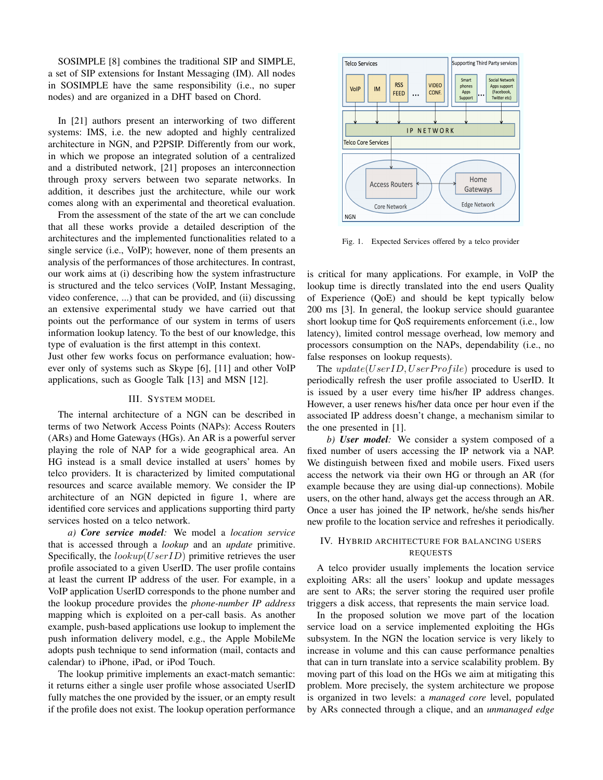SOSIMPLE [8] combines the traditional SIP and SIMPLE, a set of SIP extensions for Instant Messaging (IM). All nodes in SOSIMPLE have the same responsibility (i.e., no super nodes) and are organized in a DHT based on Chord.

In [21] authors present an interworking of two different systems: IMS, i.e. the new adopted and highly centralized architecture in NGN, and P2PSIP. Differently from our work, in which we propose an integrated solution of a centralized and a distributed network, [21] proposes an interconnection through proxy servers between two separate networks. In addition, it describes just the architecture, while our work comes along with an experimental and theoretical evaluation.

From the assessment of the state of the art we can conclude that all these works provide a detailed description of the architectures and the implemented functionalities related to a single service (i.e., VoIP); however, none of them presents an analysis of the performances of those architectures. In contrast, our work aims at (i) describing how the system infrastructure is structured and the telco services (VoIP, Instant Messaging, video conference, ...) that can be provided, and (ii) discussing an extensive experimental study we have carried out that points out the performance of our system in terms of users information lookup latency. To the best of our knowledge, this type of evaluation is the first attempt in this context.

Just other few works focus on performance evaluation; however only of systems such as Skype [6], [11] and other VoIP applications, such as Google Talk [13] and MSN [12].

# III. SYSTEM MODEL

The internal architecture of a NGN can be described in terms of two Network Access Points (NAPs): Access Routers (ARs) and Home Gateways (HGs). An AR is a powerful server playing the role of NAP for a wide geographical area. An HG instead is a small device installed at users' homes by telco providers. It is characterized by limited computational resources and scarce available memory. We consider the IP architecture of an NGN depicted in figure 1, where are identified core services and applications supporting third party services hosted on a telco network.

*a) Core service model:* We model a *location service* that is accessed through a *lookup* and an *update* primitive. Specifically, the *lookup*(*UserID*) primitive retrieves the user profile associated to a given UserID. The user profile contains at least the current IP address of the user. For example, in a VoIP application UserID corresponds to the phone number and the lookup procedure provides the *phone-number IP address* mapping which is exploited on a per-call basis. As another example, push-based applications use lookup to implement the push information delivery model, e.g., the Apple MobileMe adopts push technique to send information (mail, contacts and calendar) to iPhone, iPad, or iPod Touch.

The lookup primitive implements an exact-match semantic: it returns either a single user profile whose associated UserID fully matches the one provided by the issuer, or an empty result if the profile does not exist. The lookup operation performance



Fig. 1. Expected Services offered by a telco provider

is critical for many applications. For example, in VoIP the lookup time is directly translated into the end users Quality of Experience (QoE) and should be kept typically below 200 ms [3]. In general, the lookup service should guarantee short lookup time for QoS requirements enforcement (i.e., low latency), limited control message overhead, low memory and processors consumption on the NAPs, dependability (i.e., no false responses on lookup requests).

The *update*(*UserID*, *UserProfile*) procedure is used to periodically refresh the user profile associated to UserID. It is issued by a user every time his/her IP address changes. However, a user renews his/her data once per hour even if the associated IP address doesn't change, a mechanism similar to the one presented in [1].

*b) User model:* We consider a system composed of a fixed number of users accessing the IP network via a NAP. We distinguish between fixed and mobile users. Fixed users access the network via their own HG or through an AR (for example because they are using dial-up connections). Mobile users, on the other hand, always get the access through an AR. Once a user has joined the IP network, he/she sends his/her new profile to the location service and refreshes it periodically.

# IV. HYBRID ARCHITECTURE FOR BALANCING USERS REQUESTS

A telco provider usually implements the location service exploiting ARs: all the users' lookup and update messages are sent to ARs; the server storing the required user profile triggers a disk access, that represents the main service load.

In the proposed solution we move part of the location service load on a service implemented exploiting the HGs subsystem. In the NGN the location service is very likely to increase in volume and this can cause performance penalties that can in turn translate into a service scalability problem. By moving part of this load on the HGs we aim at mitigating this problem. More precisely, the system architecture we propose is organized in two levels: a *managed core* level, populated by ARs connected through a clique, and an *unmanaged edge*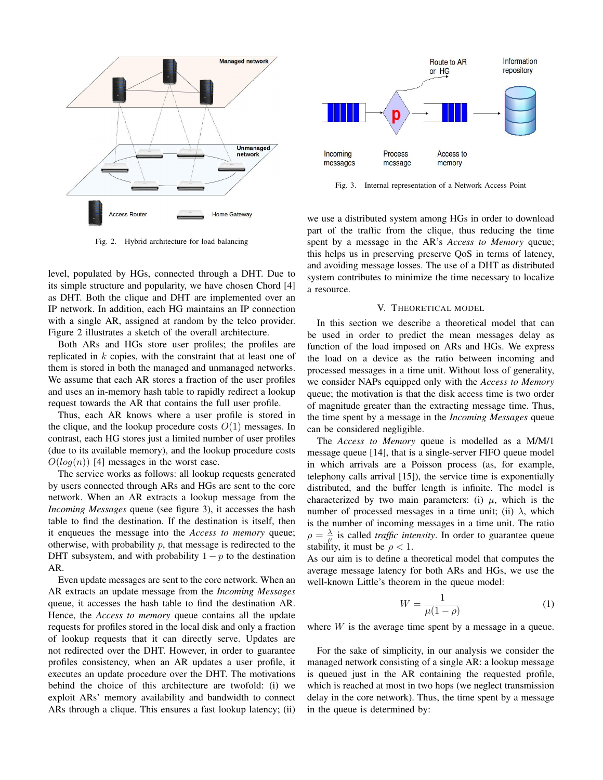

Fig. 2. Hybrid architecture for load balancing

level, populated by HGs, connected through a DHT. Due to its simple structure and popularity, we have chosen Chord [4] as DHT. Both the clique and DHT are implemented over an IP network. In addition, each HG maintains an IP connection with a single AR, assigned at random by the telco provider. Figure 2 illustrates a sketch of the overall architecture.

Both ARs and HGs store user profiles; the profiles are replicated in *k* copies, with the constraint that at least one of them is stored in both the managed and unmanaged networks. We assume that each AR stores a fraction of the user profiles and uses an in-memory hash table to rapidly redirect a lookup request towards the AR that contains the full user profile.

Thus, each AR knows where a user profile is stored in the clique, and the lookup procedure costs  $O(1)$  messages. In contrast, each HG stores just a limited number of user profiles (due to its available memory), and the lookup procedure costs  $O(log(n))$  [4] messages in the worst case.

The service works as follows: all lookup requests generated by users connected through ARs and HGs are sent to the core network. When an AR extracts a lookup message from the *Incoming Messages* queue (see figure 3), it accesses the hash table to find the destination. If the destination is itself, then it enqueues the message into the *Access to memory* queue; otherwise, with probability *p*, that message is redirected to the DHT subsystem, and with probability  $1 - p$  to the destination AR.

Even update messages are sent to the core network. When an AR extracts an update message from the *Incoming Messages* queue, it accesses the hash table to find the destination AR. Hence, the *Access to memory* queue contains all the update requests for profiles stored in the local disk and only a fraction of lookup requests that it can directly serve. Updates are not redirected over the DHT. However, in order to guarantee profiles consistency, when an AR updates a user profile, it executes an update procedure over the DHT. The motivations behind the choice of this architecture are twofold: (i) we exploit ARs' memory availability and bandwidth to connect ARs through a clique. This ensures a fast lookup latency; (ii)



Fig. 3. Internal representation of a Network Access Point

we use a distributed system among HGs in order to download part of the traffic from the clique, thus reducing the time spent by a message in the AR's *Access to Memory* queue; this helps us in preserving preserve QoS in terms of latency, and avoiding message losses. The use of a DHT as distributed system contributes to minimize the time necessary to localize a resource.

# V. THEORETICAL MODEL

In this section we describe a theoretical model that can be used in order to predict the mean messages delay as function of the load imposed on ARs and HGs. We express the load on a device as the ratio between incoming and processed messages in a time unit. Without loss of generality, we consider NAPs equipped only with the *Access to Memory* queue; the motivation is that the disk access time is two order of magnitude greater than the extracting message time. Thus, the time spent by a message in the *Incoming Messages* queue can be considered negligible.

The *Access to Memory* queue is modelled as a M/M/1 message queue [14], that is a single-server FIFO queue model in which arrivals are a Poisson process (as, for example, telephony calls arrival [15]), the service time is exponentially distributed, and the buffer length is infinite. The model is characterized by two main parameters: (i)  $\mu$ , which is the number of processed messages in a time unit; (ii)  $\lambda$ , which is the number of incoming messages in a time unit. The ratio  $\rho = \frac{\lambda}{\mu}$  is called *traffic intensity*. In order to guarantee queue stability, it must be  $\rho < 1$ .

As our aim is to define a theoretical model that computes the average message latency for both ARs and HGs, we use the well-known Little's theorem in the queue model:

$$
W = \frac{1}{\mu(1 - \rho)}\tag{1}
$$

where *W* is the average time spent by a message in a queue.

For the sake of simplicity, in our analysis we consider the managed network consisting of a single AR: a lookup message is queued just in the AR containing the requested profile, which is reached at most in two hops (we neglect transmission delay in the core network). Thus, the time spent by a message in the queue is determined by: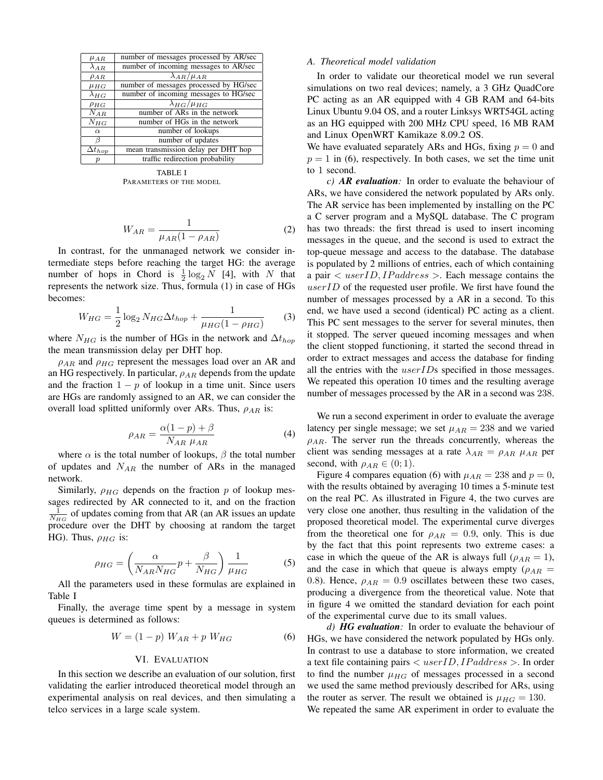| $\mu_{AR}$       | number of messages processed by AR/sec |  |
|------------------|----------------------------------------|--|
| $\lambda_{AR}$   | number of incoming messages to AR/sec  |  |
| $\rho_{AR}$      | $\lambda_{AR}/\mu_{AR}$                |  |
| $\mu_{HG}$       | number of messages processed by HG/sec |  |
| $\lambda_{HG}$   | number of incoming messages to HG/sec  |  |
| $\rho_{HG}$      | $\lambda_{HG}/\mu_{HG}$                |  |
| $N_{AR}$         | number of ARs in the network           |  |
| $N_{HG}$         | number of HGs in the network           |  |
| $\alpha$         | number of lookups                      |  |
| В                | number of updates                      |  |
| $\Delta t_{hop}$ | mean transmission delay per DHT hop    |  |
| р                | traffic redirection probability        |  |
|                  |                                        |  |

TABLE I PARAMETERS OF THE MODEL

$$
W_{AR} = \frac{1}{\mu_{AR}(1 - \rho_{AR})}
$$
 (2)

In contrast, for the unmanaged network we consider intermediate steps before reaching the target HG: the average number of hops in Chord is  $\frac{1}{2} \log_2 N$  [4], with *N* that represents the network size. Thus, formula (1) in case of HGs becomes:

$$
W_{HG} = \frac{1}{2} \log_2 N_{HG} \Delta t_{hop} + \frac{1}{\mu_{HG} (1 - \rho_{HG})}
$$
 (3)

where  $N_{HG}$  is the number of HGs in the network and  $\Delta t_{hop}$ the mean transmission delay per DHT hop.

*ρAR* and *ρHG* represent the messages load over an AR and an HG respectively. In particular, *ρAR* depends from the update and the fraction 1 *− p* of lookup in a time unit. Since users are HGs are randomly assigned to an AR, we can consider the overall load splitted uniformly over ARs. Thus, *ρAR* is:

$$
\rho_{AR} = \frac{\alpha(1-p) + \beta}{N_{AR} \mu_{AR}} \tag{4}
$$

where  $\alpha$  is the total number of lookups,  $\beta$  the total number of updates and *NAR* the number of ARs in the managed network.

Similarly,  $\rho_{HG}$  depends on the fraction  $p$  of lookup messages redirected by AR connected to it, and on the fraction  $\frac{1}{N_{HG}}$  of updates coming from that AR (an AR issues an update procedure over the DHT by choosing at random the target HG). Thus,  $\rho_{HG}$  is:

$$
\rho_{HG} = \left(\frac{\alpha}{N_{AR}N_{HG}}p + \frac{\beta}{N_{HG}}\right)\frac{1}{\mu_{HG}}
$$
(5)

All the parameters used in these formulas are explained in Table I

Finally, the average time spent by a message in system queues is determined as follows:

$$
W = (1 - p) W_{AR} + p W_{HG}
$$
 (6)

### VI. EVALUATION

In this section we describe an evaluation of our solution, first validating the earlier introduced theoretical model through an experimental analysis on real devices, and then simulating a telco services in a large scale system.

## *A. Theoretical model validation*

In order to validate our theoretical model we run several simulations on two real devices; namely, a 3 GHz QuadCore PC acting as an AR equipped with 4 GB RAM and 64-bits Linux Ubuntu 9.04 OS, and a router Linksys WRT54GL acting as an HG equipped with 200 MHz CPU speed, 16 MB RAM and Linux OpenWRT Kamikaze 8.09.2 OS.

We have evaluated separately ARs and HGs, fixing  $p = 0$  and  $p = 1$  in (6), respectively. In both cases, we set the time unit to 1 second.

*c) AR evaluation:* In order to evaluate the behaviour of ARs, we have considered the network populated by ARs only. The AR service has been implemented by installing on the PC a C server program and a MySQL database. The C program has two threads: the first thread is used to insert incoming messages in the queue, and the second is used to extract the top-queue message and access to the database. The database is populated by 2 millions of entries, each of which containing a pair *< userID, IP address >*. Each message contains the *userID* of the requested user profile. We first have found the number of messages processed by a AR in a second. To this end, we have used a second (identical) PC acting as a client. This PC sent messages to the server for several minutes, then it stopped. The server queued incoming messages and when the client stopped functioning, it started the second thread in order to extract messages and access the database for finding all the entries with the *userID*s specified in those messages. We repeated this operation 10 times and the resulting average number of messages processed by the AR in a second was 238.

We run a second experiment in order to evaluate the average latency per single message; we set  $\mu_{AR} = 238$  and we varied  $\rho_{AR}$ . The server run the threads concurrently, whereas the client was sending messages at a rate  $\lambda_{AR} = \rho_{AR} \mu_{AR}$  per second, with  $\rho_{AR} \in (0, 1)$ .

Figure 4 compares equation (6) with  $\mu_{AR} = 238$  and  $p = 0$ , with the results obtained by averaging 10 times a 5-minute test on the real PC. As illustrated in Figure 4, the two curves are very close one another, thus resulting in the validation of the proposed theoretical model. The experimental curve diverges from the theoretical one for  $\rho_{AR} = 0.9$ , only. This is due by the fact that this point represents two extreme cases: a case in which the queue of the AR is always full ( $\rho_{AR} = 1$ ), and the case in which that queue is always empty ( $\rho_{AR}$  = 0.8). Hence,  $\rho_{AR} = 0.9$  oscillates between these two cases, producing a divergence from the theoretical value. Note that in figure 4 we omitted the standard deviation for each point of the experimental curve due to its small values.

*d) HG evaluation:* In order to evaluate the behaviour of HGs, we have considered the network populated by HGs only. In contrast to use a database to store information, we created a text file containing pairs *< userID, IP address >*. In order to find the number  $\mu_{HG}$  of messages processed in a second we used the same method previously described for ARs, using the router as server. The result we obtained is  $\mu_{HG} = 130$ . We repeated the same AR experiment in order to evaluate the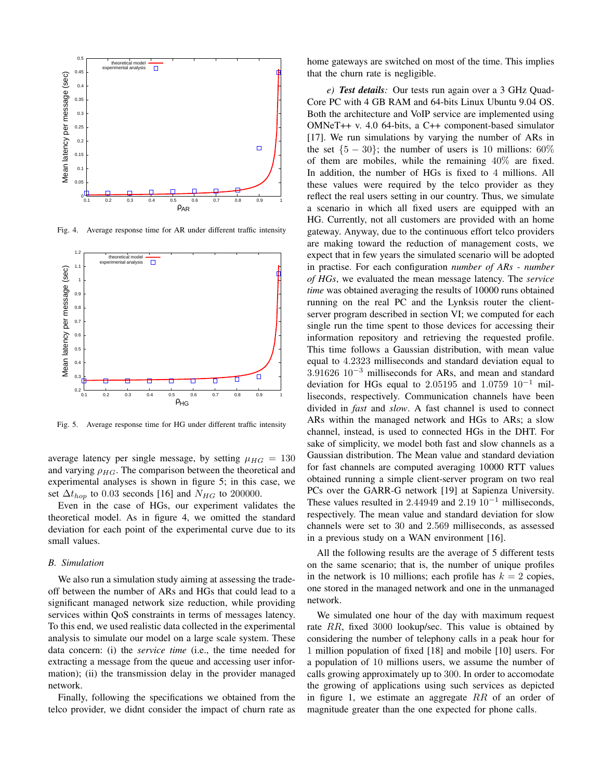

Fig. 4. Average response time for AR under different traffic intensity



Fig. 5. Average response time for HG under different traffic intensity

average latency per single message, by setting  $\mu_{HG} = 130$ and varying  $\rho_{HG}$ . The comparison between the theoretical and experimental analyses is shown in figure 5; in this case, we set  $\Delta t_{hop}$  to 0.03 seconds [16] and  $N_{HG}$  to 200000.

Even in the case of HGs, our experiment validates the theoretical model. As in figure 4, we omitted the standard deviation for each point of the experimental curve due to its small values.

#### *B. Simulation*

We also run a simulation study aiming at assessing the tradeoff between the number of ARs and HGs that could lead to a significant managed network size reduction, while providing services within QoS constraints in terms of messages latency. To this end, we used realistic data collected in the experimental analysis to simulate our model on a large scale system. These data concern: (i) the *service time* (i.e., the time needed for extracting a message from the queue and accessing user information); (ii) the transmission delay in the provider managed network.

Finally, following the specifications we obtained from the telco provider, we didnt consider the impact of churn rate as home gateways are switched on most of the time. This implies that the churn rate is negligible.

*e) Test details:* Our tests run again over a 3 GHz Quad-Core PC with 4 GB RAM and 64-bits Linux Ubuntu 9.04 OS. Both the architecture and VoIP service are implemented using OMNeT++ v. 4.0 64-bits, a C++ component-based simulator [17]. We run simulations by varying the number of ARs in the set  ${5 - 30}$ ; the number of users is 10 millions: 60% of them are mobiles, while the remaining  $40\%$  are fixed. In addition, the number of HGs is fixed to 4 millions. All these values were required by the telco provider as they reflect the real users setting in our country. Thus, we simulate a scenario in which all fixed users are equipped with an HG. Currently, not all customers are provided with an home gateway. Anyway, due to the continuous effort telco providers are making toward the reduction of management costs, we expect that in few years the simulated scenario will be adopted in practise. For each configuration *number of ARs - number of HGs*, we evaluated the mean message latency. The *service time* was obtained averaging the results of 10000 runs obtained running on the real PC and the Lynksis router the clientserver program described in section VI; we computed for each single run the time spent to those devices for accessing their information repository and retrieving the requested profile. This time follows a Gaussian distribution, with mean value equal to 4*.*2323 milliseconds and standard deviation equal to 3*.*91626 10*−*<sup>3</sup> milliseconds for ARs, and mean and standard deviation for HGs equal to 2*.*05195 and 1*.*0759 10*−*<sup>1</sup> milliseconds, respectively. Communication channels have been divided in *fast* and *slow*. A fast channel is used to connect ARs within the managed network and HGs to ARs; a slow channel, instead, is used to connected HGs in the DHT. For sake of simplicity, we model both fast and slow channels as a Gaussian distribution. The Mean value and standard deviation for fast channels are computed averaging 10000 RTT values obtained running a simple client-server program on two real PCs over the GARR-G network [19] at Sapienza University. These values resulted in 2*.*44949 and 2*.*19 10*−*<sup>1</sup> milliseconds, respectively. The mean value and standard deviation for slow channels were set to 30 and 2*.*569 milliseconds, as assessed in a previous study on a WAN environment [16].

All the following results are the average of 5 different tests on the same scenario; that is, the number of unique profiles in the network is 10 millions; each profile has  $k = 2$  copies, one stored in the managed network and one in the unmanaged network.

We simulated one hour of the day with maximum request rate *RR*, fixed 3000 lookup/sec. This value is obtained by considering the number of telephony calls in a peak hour for 1 million population of fixed [18] and mobile [10] users. For a population of 10 millions users, we assume the number of calls growing approximately up to 300. In order to accomodate the growing of applications using such services as depicted in figure 1, we estimate an aggregate *RR* of an order of magnitude greater than the one expected for phone calls.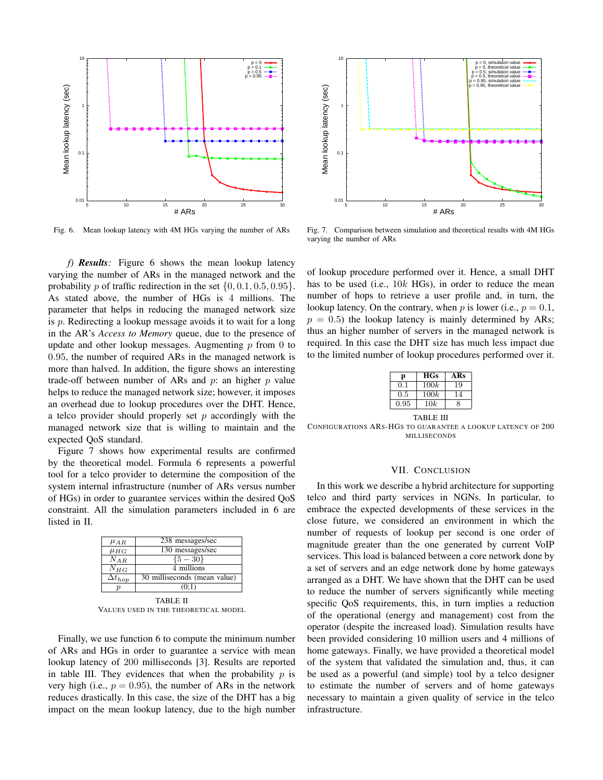

Fig. 6. Mean lookup latency with 4M HGs varying the number of ARs

*f) Results:* Figure 6 shows the mean lookup latency varying the number of ARs in the managed network and the probability *p* of traffic redirection in the set  $\{0, 0.1, 0.5, 0.95\}$ . As stated above, the number of HGs is 4 millions. The parameter that helps in reducing the managed network size is *p*. Redirecting a lookup message avoids it to wait for a long in the AR's *Access to Memory* queue, due to the presence of update and other lookup messages. Augmenting *p* from 0 to 0*.*95, the number of required ARs in the managed network is more than halved. In addition, the figure shows an interesting trade-off between number of ARs and *p*: an higher *p* value helps to reduce the managed network size; however, it imposes an overhead due to lookup procedures over the DHT. Hence, a telco provider should properly set *p* accordingly with the managed network size that is willing to maintain and the expected QoS standard. Fig. 6. Mean lookup latency with 4M HGs varying the number of ARs<br>
Fig. 6. Mean lookup latency, with 4M HGs varying the number of ARs<br>
varying the control in the mean lookup latency<br>
varying the number of ARs in the manag

Figure 7 shows how experimental results are confirmed by the theoretical model. Formula 6 represents a powerful tool for a telco provider to determine the composition of the system internal infrastructure (number of ARs versus number of HGs) in order to guarantee services within the desired QoS constraint. All the simulation parameters included in 6 are listed in II.

| $\mu_{AR}$       | 238 messages/sec             |  |
|------------------|------------------------------|--|
| $\mu_{HG}$       | 130 messages/sec             |  |
| $N_{AR}$         | $\{5 - 30\}$                 |  |
| $N_{HG}$         | 4 millions                   |  |
| $\Delta t_{hop}$ | 30 milliseconds (mean value) |  |
| (0:1)            |                              |  |
| TABLE II         |                              |  |

VALUES USED IN THE THEORETICAL MODEL

Finally, we use function 6 to compute the minimum number of ARs and HGs in order to guarantee a service with mean lookup latency of 200 milliseconds [3]. Results are reported in table III. They evidences that when the probability *p* is very high (i.e.,  $p = 0.95$ ), the number of ARs in the network reduces drastically. In this case, the size of the DHT has a big



Fig. 7. Comparison between simulation and theoretical results with 4M HGs varying the number of ARs

of lookup procedure performed over it. Hence, a small DHT has to be used (i.e., 10*k* HGs), in order to reduce the mean number of hops to retrieve a user profile and, in turn, the lookup latency. On the contrary, when  $p$  is lower (i.e.,  $p = 0.1$ ,  $p = 0.5$ ) the lookup latency is mainly determined by ARs; thus an higher number of servers in the managed network is required. In this case the DHT size has much less impact due to the limited number of lookup procedures performed over it.

| р         | <b>HGs</b> | ARs |  |  |
|-----------|------------|-----|--|--|
| 0.1       | 100k       | 19  |  |  |
| 0.5       | 100k       | 14  |  |  |
| 0.95      | 10k        | 8   |  |  |
| TABLE III |            |     |  |  |

CONFIGURATIONS ARS-HGS TO GUARANTEE A LOOKUP LATENCY OF 200 MILLISECONDS

# VII. CONCLUSION

In this work we describe a hybrid architecture for supporting telco and third party services in NGNs. In particular, to embrace the expected developments of these services in the close future, we considered an environment in which the number of requests of lookup per second is one order of magnitude greater than the one generated by current VoIP services. This load is balanced between a core network done by a set of servers and an edge network done by home gateways arranged as a DHT. We have shown that the DHT can be used to reduce the number of servers significantly while meeting specific QoS requirements, this, in turn implies a reduction of the operational (energy and management) cost from the operator (despite the increased load). Simulation results have been provided considering 10 million users and 4 millions of home gateways. Finally, we have provided a theoretical model of the system that validated the simulation and, thus, it can be used as a powerful (and simple) tool by a telco designer to estimate the number of servers and of home gateways necessary to maintain a given quality of service in the telco infrastructure.